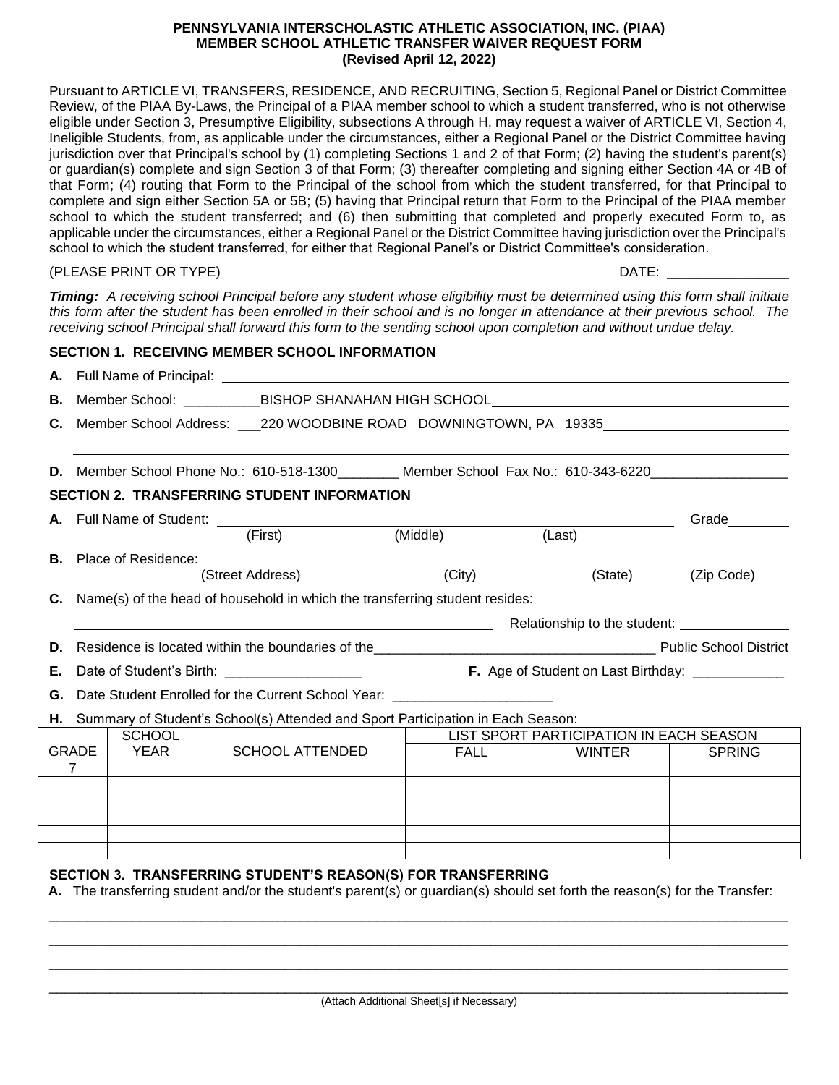### **PENNSYLVANIA INTERSCHOLASTIC ATHLETIC ASSOCIATION, INC. (PIAA) MEMBER SCHOOL ATHLETIC TRANSFER WAIVER REQUEST FORM (Revised April 12, 2022)**

Pursuant to ARTICLE VI, TRANSFERS, RESIDENCE, AND RECRUITING, Section 5, Regional Panel or District Committee Review, of the PIAA By-Laws, the Principal of a PIAA member school to which a student transferred, who is not otherwise eligible under Section 3, Presumptive Eligibility, subsections A through H, may request a waiver of ARTICLE VI, Section 4, Ineligible Students, from, as applicable under the circumstances, either a Regional Panel or the District Committee having jurisdiction over that Principal's school by (1) completing Sections 1 and 2 of that Form; (2) having the student's parent(s) or guardian(s) complete and sign Section 3 of that Form; (3) thereafter completing and signing either Section 4A or 4B of that Form; (4) routing that Form to the Principal of the school from which the student transferred, for that Principal to complete and sign either Section 5A or 5B; (5) having that Principal return that Form to the Principal of the PIAA member school to which the student transferred; and (6) then submitting that completed and properly executed Form to, as applicable under the circumstances, either a Regional Panel or the District Committee having jurisdiction over the Principal's school to which the student transferred, for either that Regional Panel's or District Committee's consideration.

(PLEASE PRINT OR TYPE) DATE:

*Timing: A receiving school Principal before any student whose eligibility must be determined using this form shall initiate this form after the student has been enrolled in their school and is no longer in attendance at their previous school. The receiving school Principal shall forward this form to the sending school upon completion and without undue delay.*

|    |                                                                                                    |                                                         | <b>SECTION 1. RECEIVING MEMBER SCHOOL INFORMATION</b>                        |          |                                         |                       |  |
|----|----------------------------------------------------------------------------------------------------|---------------------------------------------------------|------------------------------------------------------------------------------|----------|-----------------------------------------|-----------------------|--|
|    |                                                                                                    |                                                         |                                                                              |          |                                         |                       |  |
|    | <b>B.</b> Member School: ___________BISHOP SHANAHAN HIGH SCHOOL_______________________             |                                                         |                                                                              |          |                                         |                       |  |
|    | C. Member School Address: ___220 WOODBINE ROAD DOWNINGTOWN, PA 19335_____________                  |                                                         |                                                                              |          |                                         |                       |  |
|    |                                                                                                    |                                                         | D. Member School Phone No.: 610-518-1300 Member School Fax No.: 610-343-6220 |          |                                         |                       |  |
|    |                                                                                                    |                                                         | <b>SECTION 2. TRANSFERRING STUDENT INFORMATION</b>                           |          |                                         |                       |  |
|    |                                                                                                    |                                                         |                                                                              |          |                                         | Grade                 |  |
|    |                                                                                                    |                                                         | (First)                                                                      | (Middle) | (Last)                                  |                       |  |
|    |                                                                                                    |                                                         | <b>B.</b> Place of Residence:                                                |          |                                         |                       |  |
|    |                                                                                                    |                                                         | (Street Address)                                                             | (City)   |                                         | (State)<br>(Zip Code) |  |
|    | <b>C.</b> Name(s) of the head of household in which the transferring student resides:              |                                                         |                                                                              |          |                                         |                       |  |
|    |                                                                                                    | <u> 1989 - Johann Barnett, fransk politik (d. 1989)</u> |                                                                              |          |                                         |                       |  |
| D. |                                                                                                    |                                                         |                                                                              |          |                                         |                       |  |
| Е. | Date of Student's Birth: _____________________<br>F. Age of Student on Last Birthday: ____________ |                                                         |                                                                              |          |                                         |                       |  |
| G. | Date Student Enrolled for the Current School Year: _____________________________                   |                                                         |                                                                              |          |                                         |                       |  |
|    | H. Summary of Student's School(s) Attended and Sport Participation in Each Season:                 |                                                         |                                                                              |          |                                         |                       |  |
|    |                                                                                                    | <b>SCHOOL</b>                                           |                                                                              |          | LIST SPORT PARTICIPATION IN EACH SEASON |                       |  |
|    | GRADE                                                                                              | YEAR                                                    | SCHOOL ATTENDED                                                              |          | FALL  <br><b>WINTER</b>                 | <b>SPRING</b>         |  |
|    | $\overline{7}$                                                                                     |                                                         |                                                                              |          |                                         |                       |  |
|    |                                                                                                    |                                                         |                                                                              |          |                                         |                       |  |
|    |                                                                                                    |                                                         |                                                                              |          |                                         |                       |  |

## **SECTION 3. TRANSFERRING STUDENT'S REASON(S) FOR TRANSFERRING**

**A.** The transferring student and/or the student's parent(s) or guardian(s) should set forth the reason(s) for the Transfer:

 $\Box$ \_\_\_\_\_\_\_\_\_\_\_\_\_\_\_\_\_\_\_\_\_\_\_\_\_\_\_\_\_\_\_\_\_\_\_\_\_\_\_\_\_\_\_\_\_\_\_\_\_\_\_\_\_\_\_\_\_\_\_\_\_\_\_\_\_\_\_\_\_\_\_\_\_\_\_\_\_\_\_\_\_\_\_\_\_\_\_\_\_\_\_\_\_\_\_\_\_  $\Box$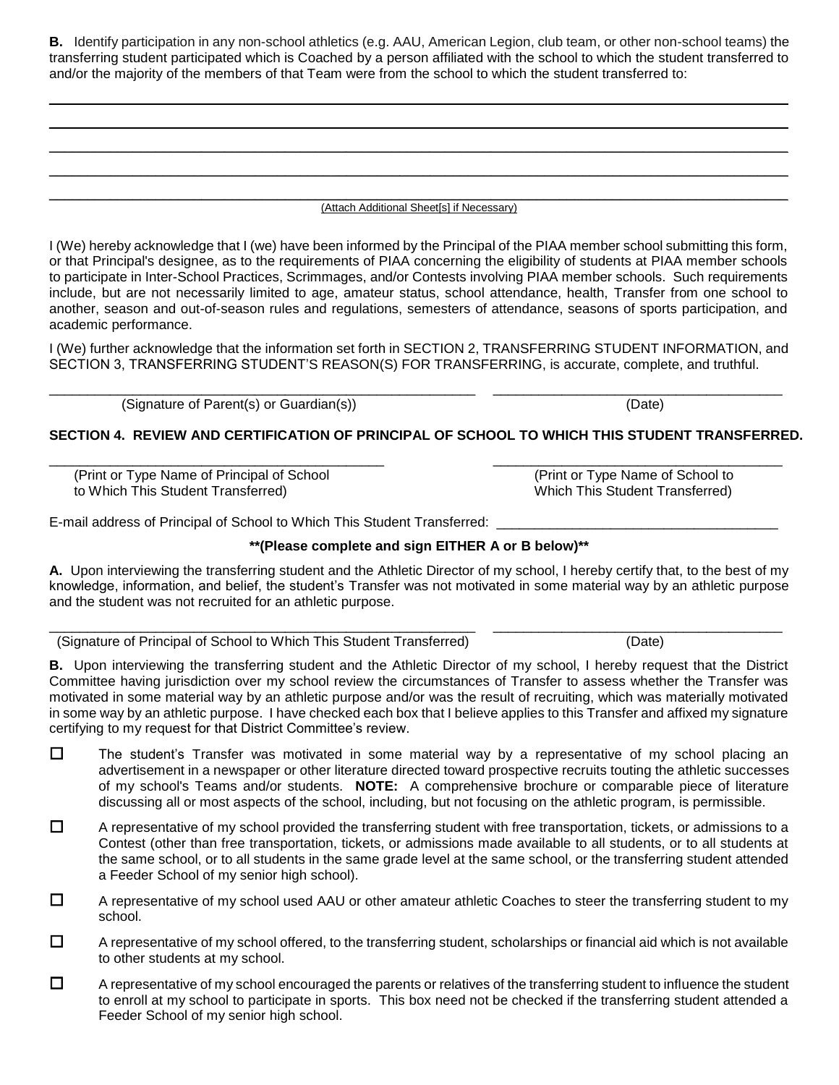**B.** Identify participation in any non-school athletics (e.g. AAU, American Legion, club team, or other non-school teams) the transferring student participated which is Coached by a person affiliated with the school to which the student transferred to and/or the majority of the members of that Team were from the school to which the student transferred to:

\_\_\_\_\_\_\_\_\_\_\_\_\_\_\_\_\_\_\_\_\_\_\_\_\_\_\_\_\_\_\_\_\_\_\_\_\_\_\_\_\_\_\_\_\_\_\_\_\_\_\_\_\_\_\_\_\_\_\_\_\_\_\_\_\_\_\_\_\_\_\_\_\_\_\_\_\_\_\_\_\_\_\_\_\_\_\_\_\_\_\_\_\_\_\_\_\_ \_\_\_\_\_\_\_\_\_\_\_\_\_\_\_\_\_\_\_\_\_\_\_\_\_\_\_\_\_\_\_\_\_\_\_\_\_\_\_\_\_\_\_\_\_\_\_\_\_\_\_\_\_\_\_\_\_\_\_\_\_\_\_\_\_\_\_\_\_\_\_\_\_\_\_\_\_\_\_\_\_\_\_\_\_\_\_\_\_\_\_\_\_\_\_\_\_ \_\_\_\_\_\_\_\_\_\_\_\_\_\_\_\_\_\_\_\_\_\_\_\_\_\_\_\_\_\_\_\_\_\_\_\_\_\_\_\_\_\_\_\_\_\_\_\_\_\_\_\_\_\_\_\_\_\_\_\_\_\_\_\_\_\_\_\_\_\_\_\_\_\_\_\_\_\_\_\_\_\_\_\_\_\_\_\_\_\_\_\_\_\_\_\_\_ \_\_\_\_\_\_\_\_\_\_\_\_\_\_\_\_\_\_\_\_\_\_\_\_\_\_\_\_\_\_\_\_\_\_\_\_\_\_\_\_\_\_\_\_\_\_\_\_\_\_\_\_\_\_\_\_\_\_\_\_\_\_\_\_\_\_\_\_\_\_\_\_\_\_\_\_\_\_\_\_\_\_\_\_\_\_\_\_\_\_\_\_\_\_\_\_\_

### \_\_\_\_\_\_\_\_\_\_\_\_\_\_\_\_\_\_\_\_\_\_\_\_\_\_\_\_\_\_\_\_\_\_\_\_\_\_\_\_\_\_\_\_\_\_\_\_\_\_\_\_\_\_\_\_\_\_\_\_\_\_\_\_\_\_\_\_\_\_\_\_\_\_\_\_\_\_\_\_\_\_\_\_\_\_\_\_\_\_\_\_\_\_\_\_\_ (Attach Additional Sheet[s] if Necessary)

I (We) hereby acknowledge that I (we) have been informed by the Principal of the PIAA member school submitting this form, or that Principal's designee, as to the requirements of PIAA concerning the eligibility of students at PIAA member schools to participate in Inter-School Practices, Scrimmages, and/or Contests involving PIAA member schools. Such requirements include, but are not necessarily limited to age, amateur status, school attendance, health, Transfer from one school to another, season and out-of-season rules and regulations, semesters of attendance, seasons of sports participation, and academic performance.

I (We) further acknowledge that the information set forth in SECTION 2, TRANSFERRING STUDENT INFORMATION, and SECTION 3, TRANSFERRING STUDENT'S REASON(S) FOR TRANSFERRING, is accurate, complete, and truthful.

\_\_\_\_\_\_\_\_\_\_\_\_\_\_\_\_\_\_\_\_\_\_\_\_\_\_\_\_\_\_\_\_\_\_\_\_\_\_\_\_\_\_\_\_\_\_\_\_\_\_\_\_\_\_\_\_ \_\_\_\_\_\_\_\_\_\_\_\_\_\_\_\_\_\_\_\_\_\_\_\_\_\_\_\_\_\_\_\_\_\_\_\_\_\_

(Signature of Parent(s) or Guardian(s)) (Date)

## **SECTION 4. REVIEW AND CERTIFICATION OF PRINCIPAL OF SCHOOL TO WHICH THIS STUDENT TRANSFERRED.**

(Print or Type Name of Principal of School (Print or Type Name of School to to Which This Student Transferred) Which This Student Transferred)

E-mail address of Principal of School to Which This Student Transferred:

### **\*\*(Please complete and sign EITHER A or B below)\*\***

**A.** Upon interviewing the transferring student and the Athletic Director of my school, I hereby certify that, to the best of my knowledge, information, and belief, the student's Transfer was not motivated in some material way by an athletic purpose and the student was not recruited for an athletic purpose.

\_\_\_\_\_\_\_\_\_\_\_\_\_\_\_\_\_\_\_\_\_\_\_\_\_\_\_\_\_\_\_\_\_\_\_\_\_\_\_\_\_\_\_\_\_\_\_\_\_\_\_\_\_\_\_\_ \_\_\_\_\_\_\_\_\_\_\_\_\_\_\_\_\_\_\_\_\_\_\_\_\_\_\_\_\_\_\_\_\_\_\_\_\_\_ (Signature of Principal of School to Which This Student Transferred) (Date)

**B.** Upon interviewing the transferring student and the Athletic Director of my school, I hereby request that the District Committee having jurisdiction over my school review the circumstances of Transfer to assess whether the Transfer was motivated in some material way by an athletic purpose and/or was the result of recruiting, which was materially motivated in some way by an athletic purpose. I have checked each box that I believe applies to this Transfer and affixed my signature certifying to my request for that District Committee's review.

- $\Box$  The student's Transfer was motivated in some material way by a representative of my school placing an advertisement in a newspaper or other literature directed toward prospective recruits touting the athletic successes of my school's Teams and/or students. **NOTE:** A comprehensive brochure or comparable piece of literature discussing all or most aspects of the school, including, but not focusing on the athletic program, is permissible.
- $\Box$  A representative of my school provided the transferring student with free transportation, tickets, or admissions to a Contest (other than free transportation, tickets, or admissions made available to all students, or to all students at the same school, or to all students in the same grade level at the same school, or the transferring student attended a Feeder School of my senior high school).
- $\square$  A representative of my school used AAU or other amateur athletic Coaches to steer the transferring student to my school.
- $\Box$  A representative of my school offered, to the transferring student, scholarships or financial aid which is not available to other students at my school.
- $\Box$  A representative of my school encouraged the parents or relatives of the transferring student to influence the student to enroll at my school to participate in sports. This box need not be checked if the transferring student attended a Feeder School of my senior high school.

\_\_\_\_\_\_\_\_\_\_\_\_\_\_\_\_\_\_\_\_\_\_\_\_\_\_\_\_\_\_\_\_\_\_\_\_\_\_\_\_\_\_\_\_ \_\_\_\_\_\_\_\_\_\_\_\_\_\_\_\_\_\_\_\_\_\_\_\_\_\_\_\_\_\_\_\_\_\_\_\_\_\_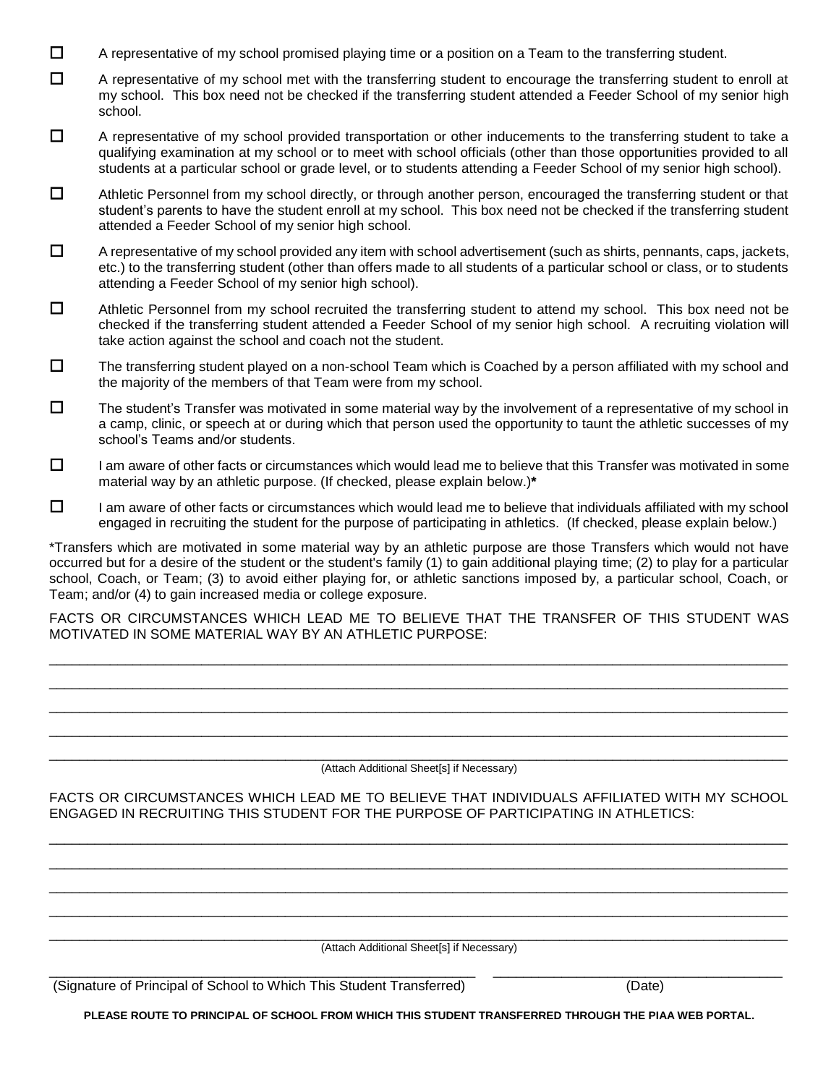- $\Box$  A representative of my school promised playing time or a position on a Team to the transferring student.
- $\Box$  A representative of my school met with the transferring student to encourage the transferring student to enroll at my school. This box need not be checked if the transferring student attended a Feeder School of my senior high school.
- $\Box$  A representative of my school provided transportation or other inducements to the transferring student to take a qualifying examination at my school or to meet with school officials (other than those opportunities provided to all students at a particular school or grade level, or to students attending a Feeder School of my senior high school).
- $\Box$  Athletic Personnel from my school directly, or through another person, encouraged the transferring student or that student's parents to have the student enroll at my school. This box need not be checked if the transferring student attended a Feeder School of my senior high school.
- $\Box$  A representative of my school provided any item with school advertisement (such as shirts, pennants, caps, jackets, etc.) to the transferring student (other than offers made to all students of a particular school or class, or to students attending a Feeder School of my senior high school).
- □ Athletic Personnel from my school recruited the transferring student to attend my school. This box need not be checked if the transferring student attended a Feeder School of my senior high school. A recruiting violation will take action against the school and coach not the student.
- $\Box$  The transferring student played on a non-school Team which is Coached by a person affiliated with my school and the majority of the members of that Team were from my school.
- $\square$  The student's Transfer was motivated in some material way by the involvement of a representative of my school in a camp, clinic, or speech at or during which that person used the opportunity to taunt the athletic successes of my school's Teams and/or students.
- $\Box$  I am aware of other facts or circumstances which would lead me to believe that this Transfer was motivated in some material way by an athletic purpose. (If checked, please explain below.)**\***
- $\Box$  I am aware of other facts or circumstances which would lead me to believe that individuals affiliated with my school engaged in recruiting the student for the purpose of participating in athletics. (If checked, please explain below.)

\*Transfers which are motivated in some material way by an athletic purpose are those Transfers which would not have occurred but for a desire of the student or the student's family (1) to gain additional playing time; (2) to play for a particular school, Coach, or Team; (3) to avoid either playing for, or athletic sanctions imposed by, a particular school, Coach, or Team; and/or (4) to gain increased media or college exposure.

FACTS OR CIRCUMSTANCES WHICH LEAD ME TO BELIEVE THAT THE TRANSFER OF THIS STUDENT WAS MOTIVATED IN SOME MATERIAL WAY BY AN ATHLETIC PURPOSE:

 $\Box$ \_\_\_\_\_\_\_\_\_\_\_\_\_\_\_\_\_\_\_\_\_\_\_\_\_\_\_\_\_\_\_\_\_\_\_\_\_\_\_\_\_\_\_\_\_\_\_\_\_\_\_\_\_\_\_\_\_\_\_\_\_\_\_\_\_\_\_\_\_\_\_\_\_\_\_\_\_\_\_\_\_\_\_\_\_\_\_\_\_\_\_\_\_\_\_\_\_ \_\_\_\_\_\_\_\_\_\_\_\_\_\_\_\_\_\_\_\_\_\_\_\_\_\_\_\_\_\_\_\_\_\_\_\_\_\_\_\_\_\_\_\_\_\_\_\_\_\_\_\_\_\_\_\_\_\_\_\_\_\_\_\_\_\_\_\_\_\_\_\_\_\_\_\_\_\_\_\_\_\_\_\_\_\_\_\_\_\_\_\_\_\_\_\_\_  $\Box$ 

#### \_\_\_\_\_\_\_\_\_\_\_\_\_\_\_\_\_\_\_\_\_\_\_\_\_\_\_\_\_\_\_\_\_\_\_\_\_\_\_\_\_\_\_\_\_\_\_\_\_\_\_\_\_\_\_\_\_\_\_\_\_\_\_\_\_\_\_\_\_\_\_\_\_\_\_\_\_\_\_\_\_\_\_\_\_\_\_\_\_\_\_\_\_\_\_\_\_ (Attach Additional Sheet[s] if Necessary)

FACTS OR CIRCUMSTANCES WHICH LEAD ME TO BELIEVE THAT INDIVIDUALS AFFILIATED WITH MY SCHOOL ENGAGED IN RECRUITING THIS STUDENT FOR THE PURPOSE OF PARTICIPATING IN ATHLETICS:

 $\Box$ \_\_\_\_\_\_\_\_\_\_\_\_\_\_\_\_\_\_\_\_\_\_\_\_\_\_\_\_\_\_\_\_\_\_\_\_\_\_\_\_\_\_\_\_\_\_\_\_\_\_\_\_\_\_\_\_\_\_\_\_\_\_\_\_\_\_\_\_\_\_\_\_\_\_\_\_\_\_\_\_\_\_\_\_\_\_\_\_\_\_\_\_\_\_\_\_\_  $\Box$  $\Box$ 

\_\_\_\_\_\_\_\_\_\_\_\_\_\_\_\_\_\_\_\_\_\_\_\_\_\_\_\_\_\_\_\_\_\_\_\_\_\_\_\_\_\_\_\_\_\_\_\_\_\_\_\_\_\_\_\_\_\_\_\_\_\_\_\_\_\_\_\_\_\_\_\_\_\_\_\_\_\_\_\_\_\_\_\_\_\_\_\_\_\_\_\_\_\_\_\_\_ (Attach Additional Sheet[s] if Necessary) \_\_\_\_\_\_\_\_\_\_\_\_\_\_\_\_\_\_\_\_\_\_\_\_\_\_\_\_\_\_\_\_\_\_\_\_\_\_\_\_\_\_\_\_\_\_\_\_\_\_\_\_\_\_\_\_ \_\_\_\_\_\_\_\_\_\_\_\_\_\_\_\_\_\_\_\_\_\_\_\_\_\_\_\_\_\_\_\_\_\_\_\_\_\_

(Signature of Principal of School to Which This Student Transferred) (Date)

**PLEASE ROUTE TO PRINCIPAL OF SCHOOL FROM WHICH THIS STUDENT TRANSFERRED THROUGH THE PIAA WEB PORTAL.**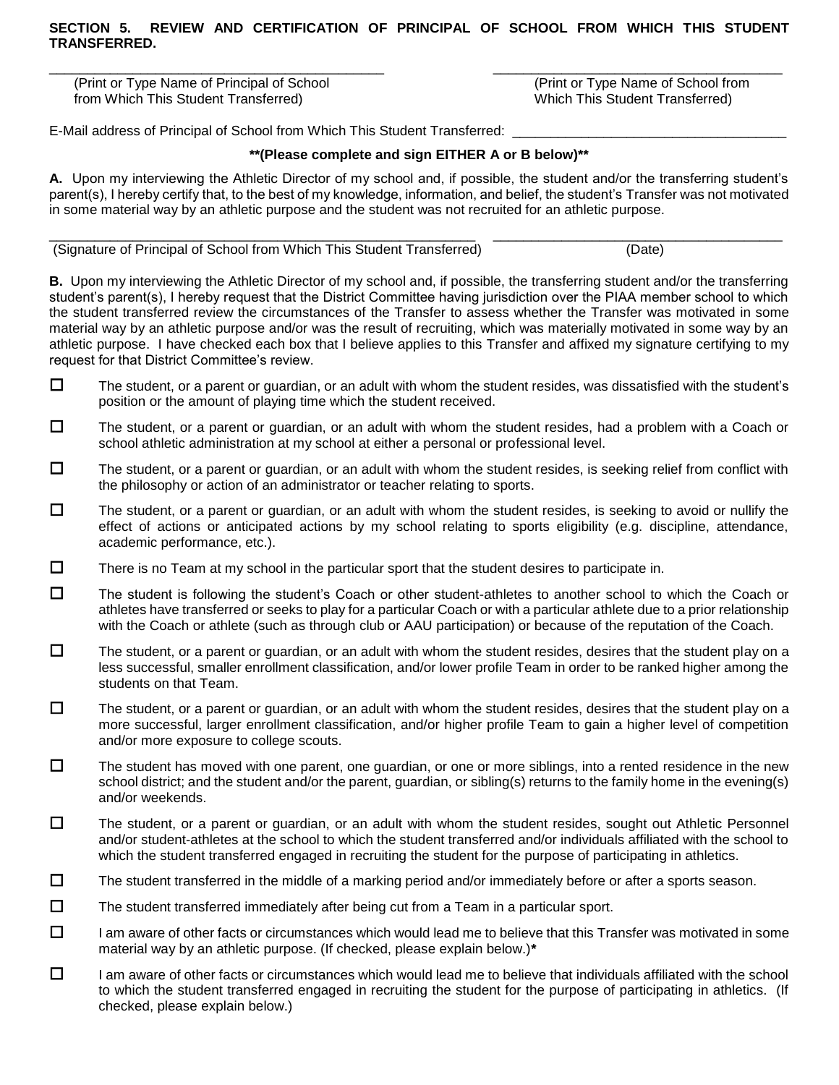\_\_\_\_\_\_\_\_\_\_\_\_\_\_\_\_\_\_\_\_\_\_\_\_\_\_\_\_\_\_\_\_\_\_\_\_\_\_\_\_\_\_\_\_ \_\_\_\_\_\_\_\_\_\_\_\_\_\_\_\_\_\_\_\_\_\_\_\_\_\_\_\_\_\_\_\_\_\_\_\_\_\_

(Print or Type Name of Principal of School (Print or Type Name of School from from Which This Student Transferred) Which This Student Transferred)

E-Mail address of Principal of School from Which This Student Transferred: \_

### **\*\*(Please complete and sign EITHER A or B below)\*\***

**A.** Upon my interviewing the Athletic Director of my school and, if possible, the student and/or the transferring student's parent(s), I hereby certify that, to the best of my knowledge, information, and belief, the student's Transfer was not motivated in some material way by an athletic purpose and the student was not recruited for an athletic purpose.

\_\_\_\_\_\_\_\_\_\_\_\_\_\_\_\_\_\_\_\_\_\_\_\_\_\_\_\_\_\_\_\_\_\_\_\_\_\_\_\_\_\_\_\_\_\_\_\_\_\_\_\_\_\_\_\_ \_\_\_\_\_\_\_\_\_\_\_\_\_\_\_\_\_\_\_\_\_\_\_\_\_\_\_\_\_\_\_\_\_\_\_\_\_\_

(Signature of Principal of School from Which This Student Transferred) (Date)

**B.** Upon my interviewing the Athletic Director of my school and, if possible, the transferring student and/or the transferring student's parent(s), I hereby request that the District Committee having jurisdiction over the PIAA member school to which the student transferred review the circumstances of the Transfer to assess whether the Transfer was motivated in some material way by an athletic purpose and/or was the result of recruiting, which was materially motivated in some way by an athletic purpose. I have checked each box that I believe applies to this Transfer and affixed my signature certifying to my request for that District Committee's review.

- $\Box$  The student, or a parent or guardian, or an adult with whom the student resides, was dissatisfied with the student's position or the amount of playing time which the student received.
- $\Box$  The student, or a parent or guardian, or an adult with whom the student resides, had a problem with a Coach or school athletic administration at my school at either a personal or professional level.
- $\square$  The student, or a parent or guardian, or an adult with whom the student resides, is seeking relief from conflict with the philosophy or action of an administrator or teacher relating to sports.
- $\Box$  The student, or a parent or guardian, or an adult with whom the student resides, is seeking to avoid or nullify the effect of actions or anticipated actions by my school relating to sports eligibility (e.g. discipline, attendance, academic performance, etc.).
- $\Box$  There is no Team at my school in the particular sport that the student desires to participate in.
- $\Box$  The student is following the student's Coach or other student-athletes to another school to which the Coach or athletes have transferred or seeks to play for a particular Coach or with a particular athlete due to a prior relationship with the Coach or athlete (such as through club or AAU participation) or because of the reputation of the Coach.
- $\square$  The student, or a parent or guardian, or an adult with whom the student resides, desires that the student play on a less successful, smaller enrollment classification, and/or lower profile Team in order to be ranked higher among the students on that Team.
- $\Box$  The student, or a parent or guardian, or an adult with whom the student resides, desires that the student play on a more successful, larger enrollment classification, and/or higher profile Team to gain a higher level of competition and/or more exposure to college scouts.
- $\Box$  The student has moved with one parent, one guardian, or one or more siblings, into a rented residence in the new school district; and the student and/or the parent, guardian, or sibling(s) returns to the family home in the evening(s) and/or weekends.
- $\Box$  The student, or a parent or guardian, or an adult with whom the student resides, sought out Athletic Personnel and/or student-athletes at the school to which the student transferred and/or individuals affiliated with the school to which the student transferred engaged in recruiting the student for the purpose of participating in athletics.
- $\Box$  The student transferred in the middle of a marking period and/or immediately before or after a sports season.
- $\Box$  The student transferred immediately after being cut from a Team in a particular sport.
- $\Box$  I am aware of other facts or circumstances which would lead me to believe that this Transfer was motivated in some material way by an athletic purpose. (If checked, please explain below.)**\***
- $\Box$  I am aware of other facts or circumstances which would lead me to believe that individuals affiliated with the school to which the student transferred engaged in recruiting the student for the purpose of participating in athletics. (If checked, please explain below.)